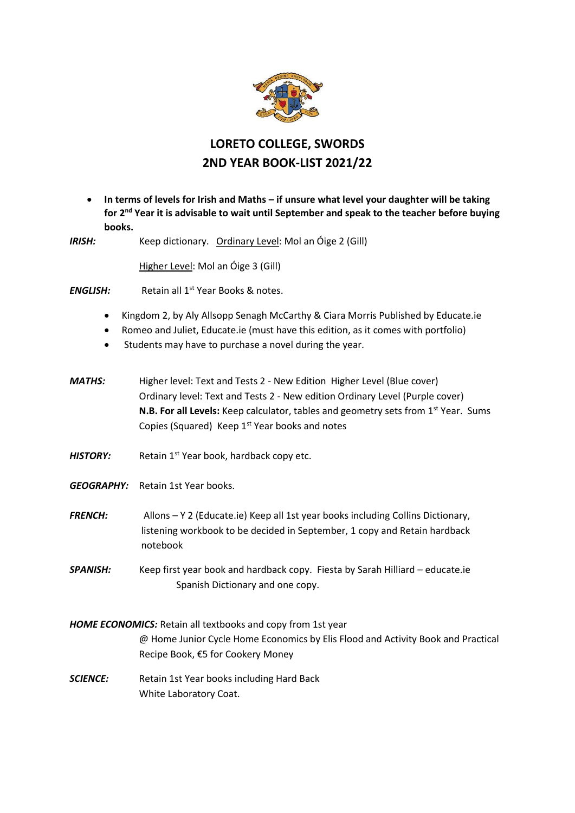

## **LORETO COLLEGE, SWORDS 2ND YEAR BOOK-LIST 2021/22**

 **In terms of levels for Irish and Maths – if unsure what level your daughter will be taking for 2nd Year it is advisable to wait until September and speak to the teacher before buying books.** 

*IRISH:* Keep dictionary. Ordinary Level: Mol an Óige 2 (Gill)

Higher Level: Mol an Óige 3 (Gill)

*ENGLISH:* Retain all 1<sup>st</sup> Year Books & notes.

- Kingdom 2, by Aly Allsopp Senagh McCarthy & Ciara Morris Published by Educate.ie
- Romeo and Juliet, Educate.ie (must have this edition, as it comes with portfolio)
- Students may have to purchase a novel during the year.
- *MATHS:* Higher level: Text and Tests 2 New Edition Higher Level (Blue cover) Ordinary level: Text and Tests 2 - New edition Ordinary Level (Purple cover) **N.B. For all Levels:** Keep calculator, tables and geometry sets from 1<sup>st</sup> Year. Sums Copies (Squared) Keep 1<sup>st</sup> Year books and notes
- *HISTORY:* Retain 1<sup>st</sup> Year book, hardback copy etc.
- *GEOGRAPHY:* Retain 1st Year books.
- *FRENCH:* Allons Y 2 (Educate.ie) Keep all 1st year books including Collins Dictionary, listening workbook to be decided in September, 1 copy and Retain hardback notebook
- *SPANISH:* Keep first year book and hardback copy. Fiesta by Sarah Hilliard educate.ie Spanish Dictionary and one copy.

*HOME ECONOMICS:* Retain all textbooks and copy from 1st year

@ Home Junior Cycle Home Economics by Elis Flood and Activity Book and Practical Recipe Book, €5 for Cookery Money

**SCIENCE:** Retain 1st Year books including Hard Back White Laboratory Coat.